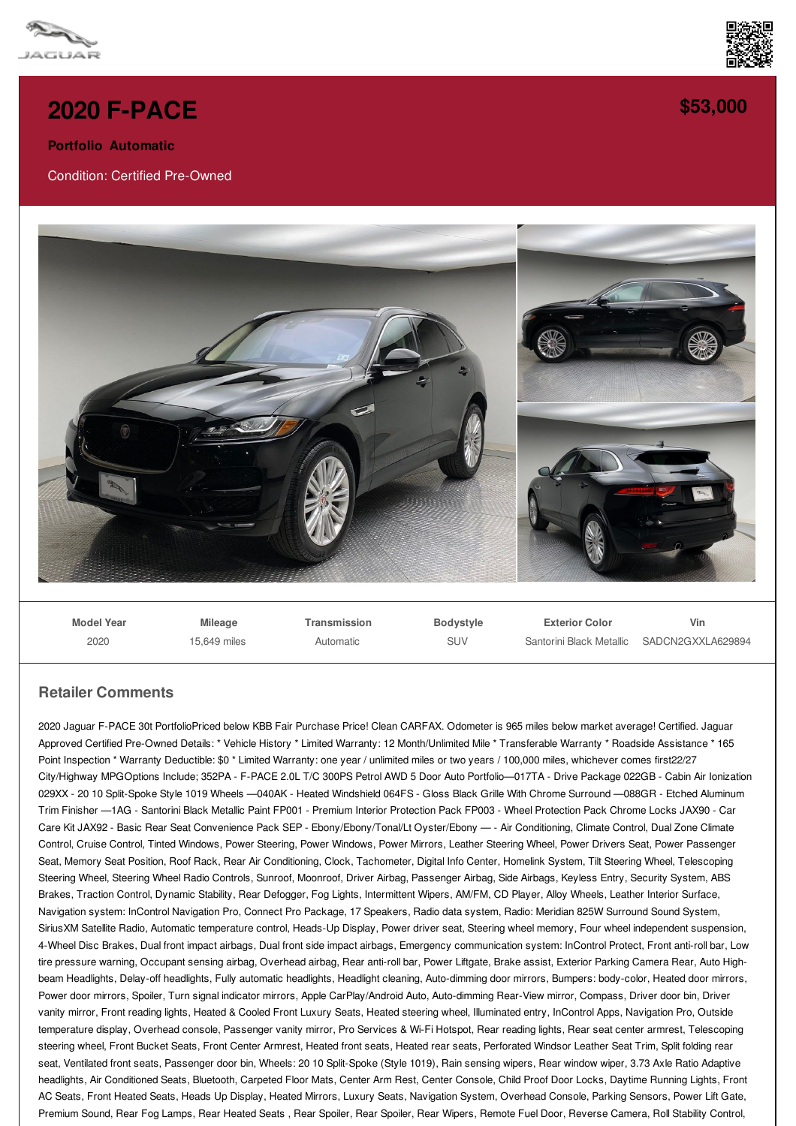



**[\\$53,000](/used-certified/pdf/)**

## **2020 [F-PACE](/used-certified/pdf/)**

**Portfolio Automatic**

Condition: Certified Pre-Owned



**Model Year** 2020 **Mileage** 15,649 miles **Transmission** Automatic **Bodystyle** SUV **Exterior Color** Santorini Black Metallic SADCN2GXXLA629894 **Vin**

## **Retailer Comments**

2020 Jaguar F-PACE 30t PortfolioPriced below KBB Fair Purchase Price! Clean CARFAX. Odometer is 965 miles below market average! Certified. Jaguar Approved Certified Pre-Owned Details: \* Vehicle History \* Limited Warranty: 12 Month/Unlimited Mile \* Transferable Warranty \* Roadside Assistance \* 165 Point Inspection \* Warranty Deductible: \$0 \* Limited Warranty: one year / unlimited miles or two years / 100,000 miles, whichever comes first22/27 City/Highway MPGOptions Include; 352PA - F-PACE 2.0L T/C 300PS Petrol AWD 5 Door Auto Portfolio—017TA - Drive Package 022GB - Cabin Air Ionization 029XX - 20 10 Split-Spoke Style 1019 Wheels —040AK - Heated Windshield 064FS - Gloss Black Grille With Chrome Surround —088GR - Etched Aluminum Trim Finisher —1AG - Santorini Black Metallic Paint FP001 - Premium Interior Protection Pack FP003 - Wheel Protection Pack Chrome Locks JAX90 - Car Care Kit JAX92 - Basic Rear Seat Convenience Pack SEP - Ebony/Ebony/Tonal/Lt Oyster/Ebony — - Air Conditioning, Climate Control, Dual Zone Climate Control, Cruise Control, Tinted Windows, Power Steering, Power Windows, Power Mirrors, Leather Steering Wheel, Power Drivers Seat, Power Passenger Seat, Memory Seat Position, Roof Rack, Rear Air Conditioning, Clock, Tachometer, Digital Info Center, Homelink System, Tilt Steering Wheel, Telescoping Steering Wheel, Steering Wheel Radio Controls, Sunroof, Moonroof, Driver Airbag, Passenger Airbag, Side Airbags, Keyless Entry, Security System, ABS Brakes, Traction Control, Dynamic Stability, Rear Defogger, Fog Lights, Intermittent Wipers, AM/FM, CD Player, Alloy Wheels, Leather Interior Surface, Navigation system: InControl Navigation Pro, Connect Pro Package, 17 Speakers, Radio data system, Radio: Meridian 825W Surround Sound System, SiriusXM Satellite Radio, Automatic temperature control, Heads-Up Display, Power driver seat, Steering wheel memory, Four wheel independent suspension, 4-Wheel Disc Brakes, Dual front impact airbags, Dual front side impact airbags, Emergency communication system: InControl Protect, Front anti-roll bar, Low tire pressure warning, Occupant sensing airbag, Overhead airbag, Rear anti-roll bar, Power Liftgate, Brake assist, Exterior Parking Camera Rear, Auto Highbeam Headlights, Delay-off headlights, Fully automatic headlights, Headlight cleaning, Auto-dimming door mirrors, Bumpers: body-color, Heated door mirrors, Power door mirrors, Spoiler, Turn signal indicator mirrors, Apple CarPlay/Android Auto, Auto-dimming Rear-View mirror, Compass, Driver door bin, Driver vanity mirror, Front reading lights, Heated & Cooled Front Luxury Seats, Heated steering wheel, Illuminated entry, InControl Apps, Navigation Pro, Outside temperature display, Overhead console, Passenger vanity mirror, Pro Services & Wi-Fi Hotspot, Rear reading lights, Rear seat center armrest, Telescoping steering wheel, Front Bucket Seats, Front Center Armrest, Heated front seats, Heated rear seats, Perforated Windsor Leather Seat Trim, Split folding rear seat, Ventilated front seats, Passenger door bin, Wheels: 20 10 Split-Spoke (Style 1019), Rain sensing wipers, Rear window wiper, 3.73 Axle Ratio Adaptive headlights, Air Conditioned Seats, Bluetooth, Carpeted Floor Mats, Center Arm Rest, Center Console, Child Proof Door Locks, Daytime Running Lights, Front AC Seats, Front Heated Seats, Heads Up Display, Heated Mirrors, Luxury Seats, Navigation System, Overhead Console, Parking Sensors, Power Lift Gate, Premium Sound, Rear Fog Lamps, Rear Heated Seats, Rear Spoiler, Rear Spoiler, Rear Wipers, Remote Fuel Door, Reverse Camera, Roll Stability Control,